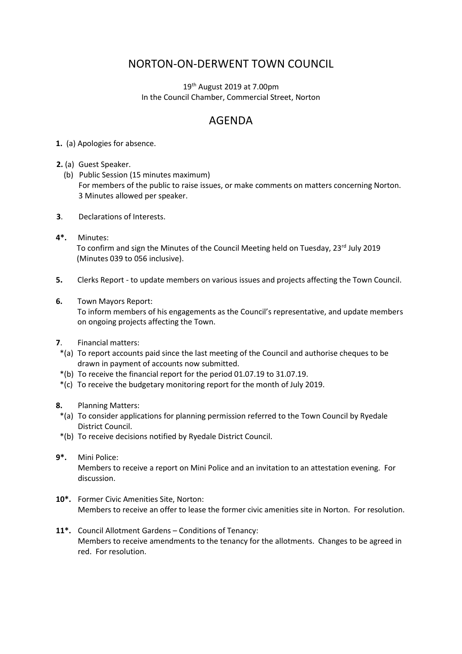## NORTON-ON-DERWENT TOWN COUNCIL

 $19<sup>th</sup>$  August 2019 at 7.00pm In the Council Chamber, Commercial Street, Norton

## AGENDA

- **1.** (a) Apologies for absence.
- **2.** (a) Guest Speaker.
	- (b) Public Session (15 minutes maximum) For members of the public to raise issues, or make comments on matters concerning Norton. 3 Minutes allowed per speaker.
- **3**. Declarations of Interests.
- **4\*.** Minutes: To confirm and sign the Minutes of the Council Meeting held on Tuesday, 23rd July 2019 (Minutes 039 to 056 inclusive).
- **5.** Clerks Report to update members on various issues and projects affecting the Town Council.
- **6.** Town Mayors Report:

 To inform members of his engagements as the Council's representative, and update members on ongoing projects affecting the Town.

- **7**. Financial matters:
- \*(a) To report accounts paid since the last meeting of the Council and authorise cheques to be drawn in payment of accounts now submitted.
- \*(b) To receive the financial report for the period 01.07.19 to 31.07.19.
- \*(c) To receive the budgetary monitoring report for the month of July 2019.
- **8.** Planning Matters:
- \*(a) To consider applications for planning permission referred to the Town Council by Ryedale District Council.
- \*(b) To receive decisions notified by Ryedale District Council.
- **9\*.** Mini Police:

 Members to receive a report on Mini Police and an invitation to an attestation evening. For discussion.

- **10\*.** Former Civic Amenities Site, Norton: Members to receive an offer to lease the former civic amenities site in Norton. For resolution.
- **11\*.** Council Allotment Gardens Conditions of Tenancy: Members to receive amendments to the tenancy for the allotments. Changes to be agreed in red. For resolution.